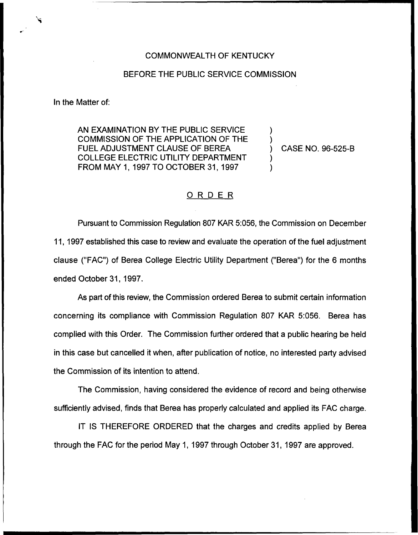## COMMONWEALTH OF KENTUCKY

## BEFORE THE PUBLIC SERVICE COMMISSION

In the Matter of:

AN EXAMINATION BY THE PUBLIC SERVICE COMMISSION OF THE APPLICATION OF THE FUEL ADJUSTMENT CLAUSE OF BEREA COLLEGE ELECTRIC UTILITY DEPARTMENT FROM MAY 1, 1997 TO OCTOBER 31, 1997

) CASE NO. 96-525-B

) )

) )

## ORDER

Pursuant to Commission Regulation 807 KAR 5:056, the Commission on December 11, 1997 established this case to review and evaluate the operation of the fuel adjustment clause ("FAC") of Berea College Electric Utility Department ("Berea") for the 6 months ended October 31, 1997.

As part of this review, the Commission ordered Berea to submit certain information concerning its compliance with Commission Regulation 807 KAR 5:056. Berea has complied with this Order. The Commission further ordered that a public hearing be held in this case but cancelled it when, after publication of notice, no interested party advised the Commission of its intention to attend.

The Commission, having considered the evidence of record and being otherwise sufficiently advised, finds that Berea has properly calculated and applied its FAC charge.

IT IS THEREFORE ORDERED that the charges and credits applied by Berea through the FAC for the period May 1, 1997 through October 31, 1997 are approved.